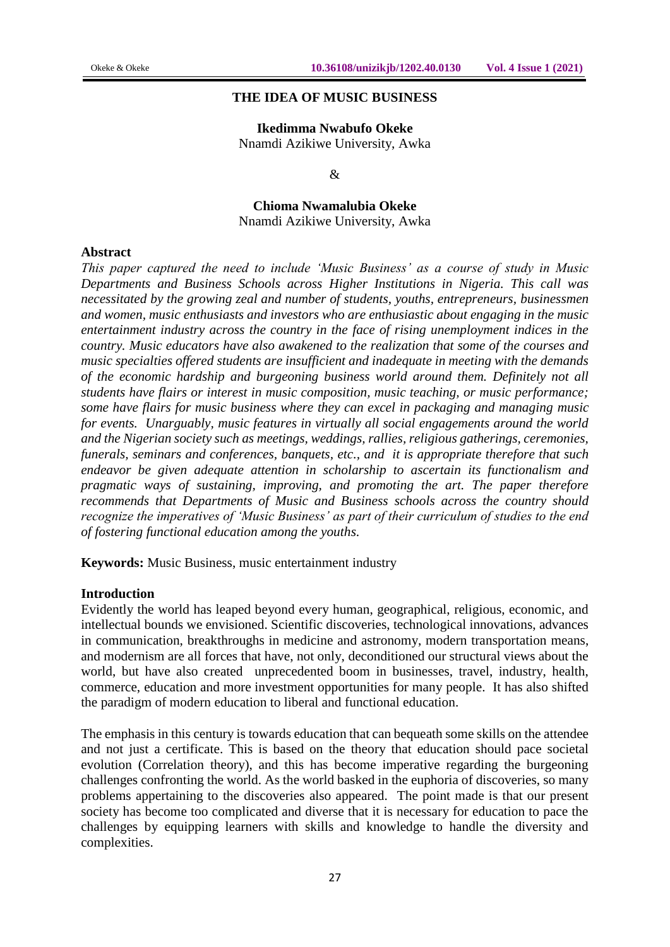#### **THE IDEA OF MUSIC BUSINESS**

**Ikedimma Nwabufo Okeke** Nnamdi Azikiwe University, Awka

&

**Chioma Nwamalubia Okeke** Nnamdi Azikiwe University, Awka

#### **Abstract**

*This paper captured the need to include 'Music Business' as a course of study in Music Departments and Business Schools across Higher Institutions in Nigeria. This call was necessitated by the growing zeal and number of students, youths, entrepreneurs, businessmen and women, music enthusiasts and investors who are enthusiastic about engaging in the music entertainment industry across the country in the face of rising unemployment indices in the country. Music educators have also awakened to the realization that some of the courses and music specialties offered students are insufficient and inadequate in meeting with the demands of the economic hardship and burgeoning business world around them. Definitely not all students have flairs or interest in music composition, music teaching, or music performance; some have flairs for music business where they can excel in packaging and managing music for events. Unarguably, music features in virtually all social engagements around the world and the Nigerian society such as meetings, weddings, rallies, religious gatherings, ceremonies, funerals, seminars and conferences, banquets, etc., and it is appropriate therefore that such endeavor be given adequate attention in scholarship to ascertain its functionalism and pragmatic ways of sustaining, improving, and promoting the art. The paper therefore recommends that Departments of Music and Business schools across the country should recognize the imperatives of 'Music Business' as part of their curriculum of studies to the end of fostering functional education among the youths.*

**Keywords:** Music Business, music entertainment industry

#### **Introduction**

Evidently the world has leaped beyond every human, geographical, religious, economic, and intellectual bounds we envisioned. Scientific discoveries, technological innovations, advances in communication, breakthroughs in medicine and astronomy, modern transportation means, and modernism are all forces that have, not only, deconditioned our structural views about the world, but have also created unprecedented boom in businesses, travel, industry, health, commerce, education and more investment opportunities for many people. It has also shifted the paradigm of modern education to liberal and functional education.

The emphasis in this century is towards education that can bequeath some skills on the attendee and not just a certificate. This is based on the theory that education should pace societal evolution (Correlation theory), and this has become imperative regarding the burgeoning challenges confronting the world. As the world basked in the euphoria of discoveries, so many problems appertaining to the discoveries also appeared. The point made is that our present society has become too complicated and diverse that it is necessary for education to pace the challenges by equipping learners with skills and knowledge to handle the diversity and complexities.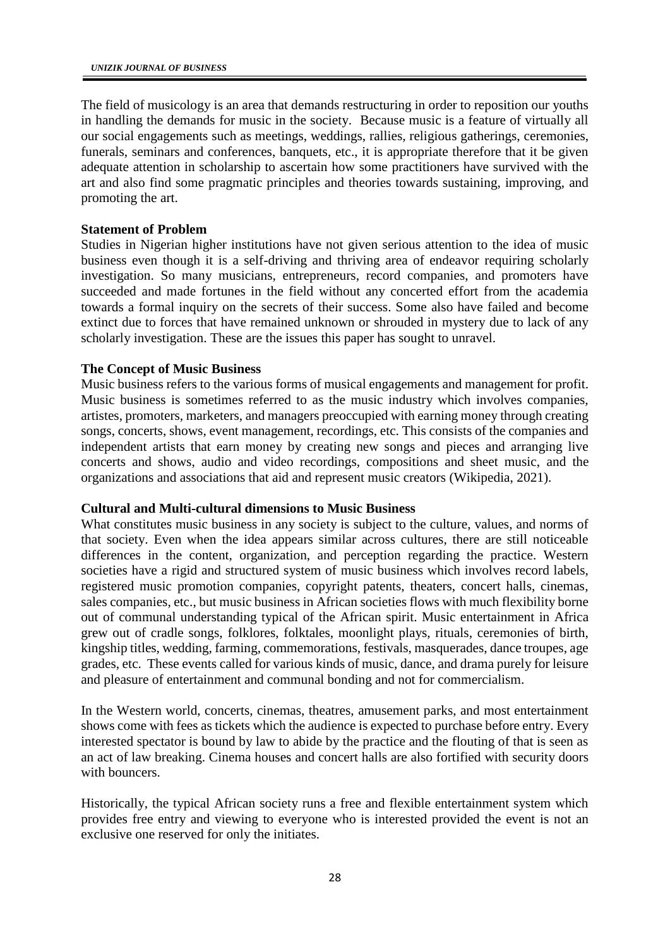The field of musicology is an area that demands restructuring in order to reposition our youths in handling the demands for music in the society. Because music is a feature of virtually all our social engagements such as meetings, weddings, rallies, religious gatherings, ceremonies, funerals, seminars and conferences, banquets, etc., it is appropriate therefore that it be given adequate attention in scholarship to ascertain how some practitioners have survived with the art and also find some pragmatic principles and theories towards sustaining, improving, and promoting the art.

## **Statement of Problem**

Studies in Nigerian higher institutions have not given serious attention to the idea of music business even though it is a self-driving and thriving area of endeavor requiring scholarly investigation. So many musicians, entrepreneurs, record companies, and promoters have succeeded and made fortunes in the field without any concerted effort from the academia towards a formal inquiry on the secrets of their success. Some also have failed and become extinct due to forces that have remained unknown or shrouded in mystery due to lack of any scholarly investigation. These are the issues this paper has sought to unravel.

## **The Concept of Music Business**

Music business refers to the various forms of musical engagements and management for profit. Music business is sometimes referred to as the music industry which involves companies, artistes, promoters, marketers, and managers preoccupied with earning money through creating songs, concerts, shows, event management, recordings, etc. This consists of the companies and independent artists that earn money by creating new songs and pieces and arranging live concerts and shows, audio and video recordings, compositions and sheet music, and the organizations and associations that aid and represent music creators (Wikipedia, 2021).

# **Cultural and Multi-cultural dimensions to Music Business**

What constitutes music business in any society is subject to the culture, values, and norms of that society. Even when the idea appears similar across cultures, there are still noticeable differences in the content, organization, and perception regarding the practice. Western societies have a rigid and structured system of music business which involves record labels, registered music promotion companies, copyright patents, theaters, concert halls, cinemas, sales companies, etc., but music business in African societies flows with much flexibility borne out of communal understanding typical of the African spirit. Music entertainment in Africa grew out of cradle songs, folklores, folktales, moonlight plays, rituals, ceremonies of birth, kingship titles, wedding, farming, commemorations, festivals, masquerades, dance troupes, age grades, etc. These events called for various kinds of music, dance, and drama purely for leisure and pleasure of entertainment and communal bonding and not for commercialism.

In the Western world, concerts, cinemas, theatres, amusement parks, and most entertainment shows come with fees as tickets which the audience is expected to purchase before entry. Every interested spectator is bound by law to abide by the practice and the flouting of that is seen as an act of law breaking. Cinema houses and concert halls are also fortified with security doors with bouncers.

Historically, the typical African society runs a free and flexible entertainment system which provides free entry and viewing to everyone who is interested provided the event is not an exclusive one reserved for only the initiates.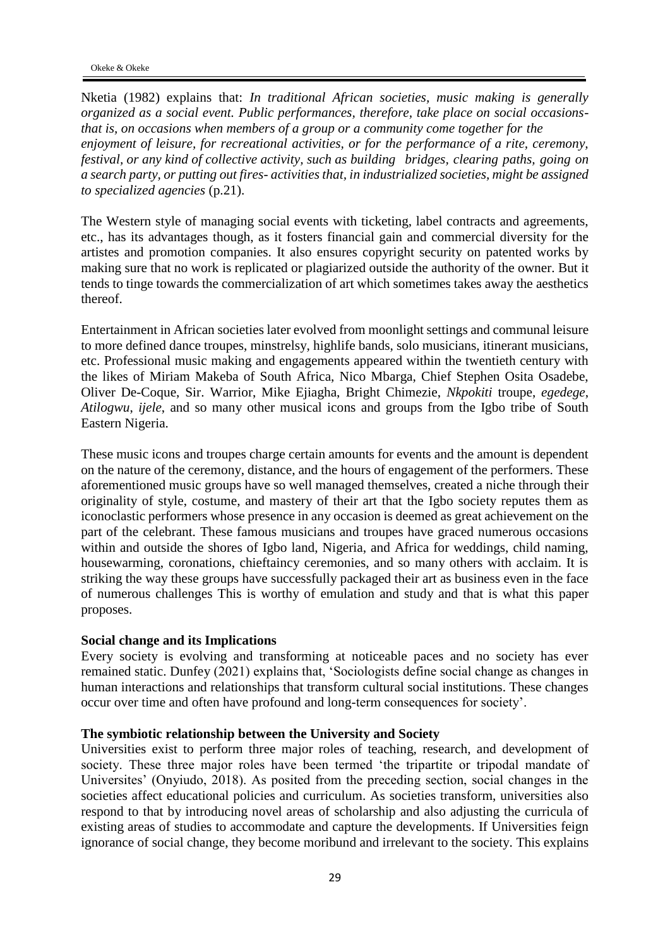Nketia (1982) explains that: *In traditional African societies, music making is generally organized as a social event. Public performances, therefore, take place on social occasionsthat is, on occasions when members of a group or a community come together for the enjoyment of leisure, for recreational activities, or for the performance of a rite, ceremony, festival, or any kind of collective activity, such as building bridges, clearing paths, going on a search party, or putting out fires- activities that, in industrialized societies, might be assigned to specialized agencies* (p.21).

The Western style of managing social events with ticketing, label contracts and agreements, etc., has its advantages though, as it fosters financial gain and commercial diversity for the artistes and promotion companies. It also ensures copyright security on patented works by making sure that no work is replicated or plagiarized outside the authority of the owner. But it tends to tinge towards the commercialization of art which sometimes takes away the aesthetics thereof.

Entertainment in African societies later evolved from moonlight settings and communal leisure to more defined dance troupes, minstrelsy, highlife bands, solo musicians, itinerant musicians, etc. Professional music making and engagements appeared within the twentieth century with the likes of Miriam Makeba of South Africa, Nico Mbarga, Chief Stephen Osita Osadebe, Oliver De-Coque, Sir. Warrior, Mike Ejiagha, Bright Chimezie, *Nkpokiti* troupe, *egedege*, *Atilogwu*, *ijele*, and so many other musical icons and groups from the Igbo tribe of South Eastern Nigeria.

These music icons and troupes charge certain amounts for events and the amount is dependent on the nature of the ceremony, distance, and the hours of engagement of the performers. These aforementioned music groups have so well managed themselves, created a niche through their originality of style, costume, and mastery of their art that the Igbo society reputes them as iconoclastic performers whose presence in any occasion is deemed as great achievement on the part of the celebrant. These famous musicians and troupes have graced numerous occasions within and outside the shores of Igbo land, Nigeria, and Africa for weddings, child naming, housewarming, coronations, chieftaincy ceremonies, and so many others with acclaim. It is striking the way these groups have successfully packaged their art as business even in the face of numerous challenges This is worthy of emulation and study and that is what this paper proposes.

#### **Social change and its Implications**

Every society is evolving and transforming at noticeable paces and no society has ever remained static. Dunfey (2021) explains that, 'Sociologists define social change as changes in human interactions and relationships that transform cultural social institutions. These changes occur over time and often have profound and long-term consequences for society'.

## **The symbiotic relationship between the University and Society**

Universities exist to perform three major roles of teaching, research, and development of society. These three major roles have been termed 'the tripartite or tripodal mandate of Universites' (Onyiudo, 2018). As posited from the preceding section, social changes in the societies affect educational policies and curriculum. As societies transform, universities also respond to that by introducing novel areas of scholarship and also adjusting the curricula of existing areas of studies to accommodate and capture the developments. If Universities feign ignorance of social change, they become moribund and irrelevant to the society. This explains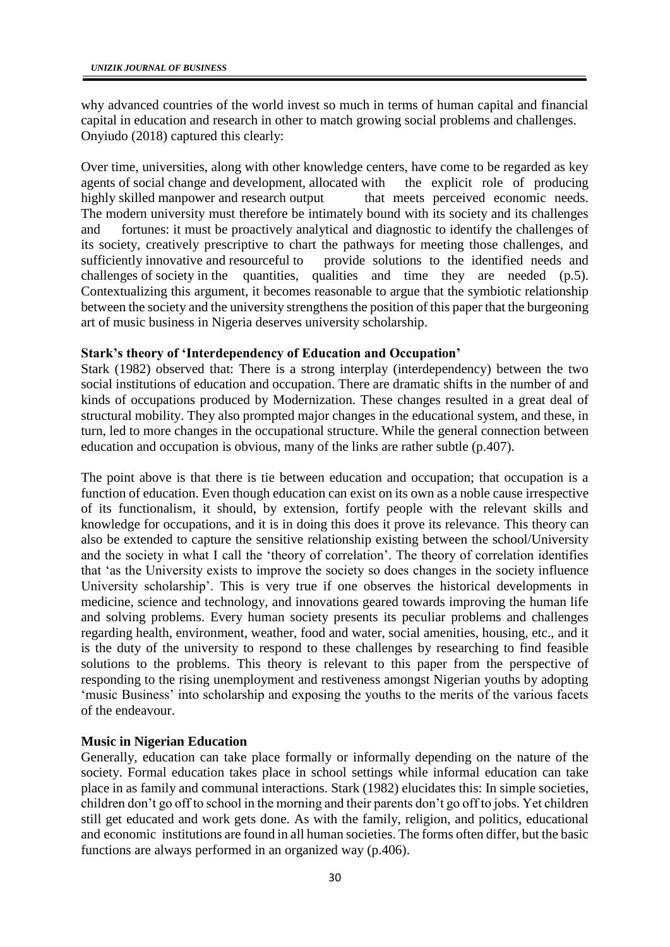why advanced countries of the world invest so much in terms of human capital and financial capital in education and research in other to match growing social problems and challenges. Onyiudo (2018) captured this clearly:

Over time, universities, along with other knowledge centers, have come to be regarded as key agents of social change and development, allocated with the explicit role of producing agents of social change and development, allocated with highly skilled manpower and research output that meets perceived economic needs. The modern university must therefore be intimately bound with its society and its challenges and fortunes: it must be proactively analytical and diagnostic to identify the challenges of its society, creatively prescriptive to chart the pathways for meeting those challenges, and sufficiently innovative and resourceful to provide solutions to the identified needs and challenges of society in the quantities, qualities and time they are needed (p.5). Contextualizing this argument, it becomes reasonable to argue that the symbiotic relationship between the society and the university strengthens the position of this paper that the burgeoning art of music business in Nigeria deserves university scholarship.

# **Stark's theory of 'Interdependency of Education and Occupation'**

Stark (1982) observed that: There is a strong interplay (interdependency) between the two social institutions of education and occupation. There are dramatic shifts in the number of and kinds of occupations produced by Modernization. These changes resulted in a great deal of structural mobility. They also prompted major changes in the educational system, and these, in turn, led to more changes in the occupational structure. While the general connection between education and occupation is obvious, many of the links are rather subtle (p.407).

The point above is that there is tie between education and occupation; that occupation is a function of education. Even though education can exist on its own as a noble cause irrespective of its functionalism, it should, by extension, fortify people with the relevant skills and knowledge for occupations, and it is in doing this does it prove its relevance. This theory can also be extended to capture the sensitive relationship existing between the school/University and the society in what I call the 'theory of correlation'. The theory of correlation identifies that 'as the University exists to improve the society so does changes in the society influence University scholarship'. This is very true if one observes the historical developments in medicine, science and technology, and innovations geared towards improving the human life and solving problems. Every human society presents its peculiar problems and challenges regarding health, environment, weather, food and water, social amenities, housing, etc., and it is the duty of the university to respond to these challenges by researching to find feasible solutions to the problems. This theory is relevant to this paper from the perspective of responding to the rising unemployment and restiveness amongst Nigerian youths by adopting 'music Business' into scholarship and exposing the youths to the merits of the various facets of the endeavour.

## **Music in Nigerian Education**

Generally, education can take place formally or informally depending on the nature of the society. Formal education takes place in school settings while informal education can take place in as family and communal interactions. Stark (1982) elucidates this: In simple societies, children don't go off to school in the morning and their parents don't go off to jobs. Yet children still get educated and work gets done. As with the family, religion, and politics, educational and economic institutions are found in all human societies. The forms often differ, but the basic functions are always performed in an organized way (p.406).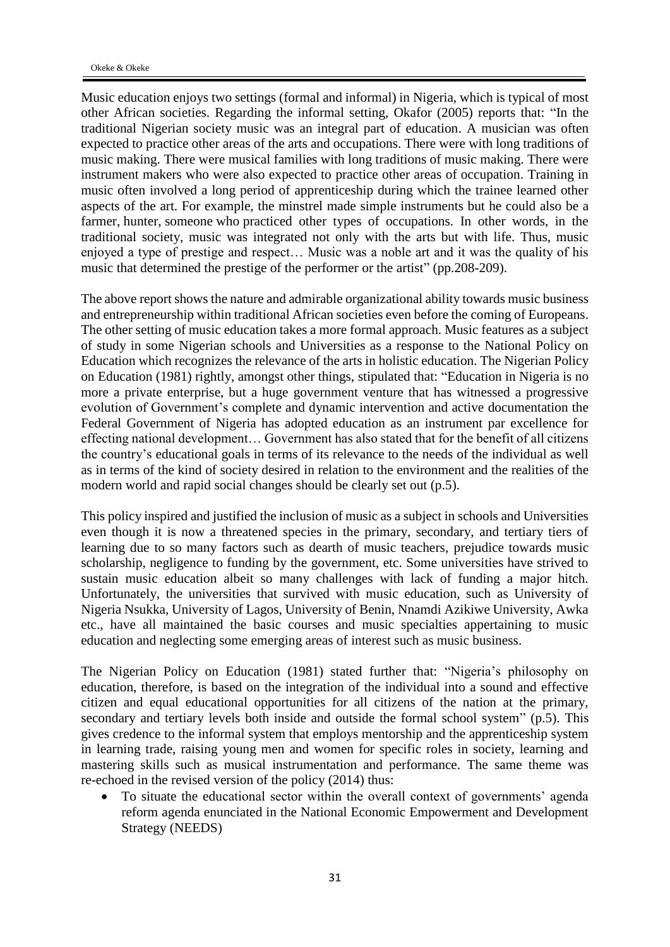Music education enjoys two settings (formal and informal) in Nigeria, which is typical of most other African societies. Regarding the informal setting, Okafor (2005) reports that: "In the traditional Nigerian society music was an integral part of education. A musician was often expected to practice other areas of the arts and occupations. There were with long traditions of music making. There were musical families with long traditions of music making. There were instrument makers who were also expected to practice other areas of occupation. Training in music often involved a long period of apprenticeship during which the trainee learned other aspects of the art. For example, the minstrel made simple instruments but he could also be a farmer, hunter, someone who practiced other types of occupations. In other words, in the traditional society, music was integrated not only with the arts but with life. Thus, music enjoyed a type of prestige and respect… Music was a noble art and it was the quality of his music that determined the prestige of the performer or the artist" (pp.208-209).

The above report shows the nature and admirable organizational ability towards music business and entrepreneurship within traditional African societies even before the coming of Europeans. The other setting of music education takes a more formal approach. Music features as a subject of study in some Nigerian schools and Universities as a response to the National Policy on Education which recognizes the relevance of the arts in holistic education. The Nigerian Policy on Education (1981) rightly, amongst other things, stipulated that: "Education in Nigeria is no more a private enterprise, but a huge government venture that has witnessed a progressive evolution of Government's complete and dynamic intervention and active documentation the Federal Government of Nigeria has adopted education as an instrument par excellence for effecting national development… Government has also stated that for the benefit of all citizens the country's educational goals in terms of its relevance to the needs of the individual as well as in terms of the kind of society desired in relation to the environment and the realities of the modern world and rapid social changes should be clearly set out (p.5).

This policy inspired and justified the inclusion of music as a subject in schools and Universities even though it is now a threatened species in the primary, secondary, and tertiary tiers of learning due to so many factors such as dearth of music teachers, prejudice towards music scholarship, negligence to funding by the government, etc. Some universities have strived to sustain music education albeit so many challenges with lack of funding a major hitch. Unfortunately, the universities that survived with music education, such as University of Nigeria Nsukka, University of Lagos, University of Benin, Nnamdi Azikiwe University, Awka etc., have all maintained the basic courses and music specialties appertaining to music education and neglecting some emerging areas of interest such as music business.

The Nigerian Policy on Education (1981) stated further that: "Nigeria's philosophy on education, therefore, is based on the integration of the individual into a sound and effective citizen and equal educational opportunities for all citizens of the nation at the primary, secondary and tertiary levels both inside and outside the formal school system" (p.5). This gives credence to the informal system that employs mentorship and the apprenticeship system in learning trade, raising young men and women for specific roles in society, learning and mastering skills such as musical instrumentation and performance. The same theme was re-echoed in the revised version of the policy (2014) thus:

• To situate the educational sector within the overall context of governments' agenda reform agenda enunciated in the National Economic Empowerment and Development Strategy (NEEDS)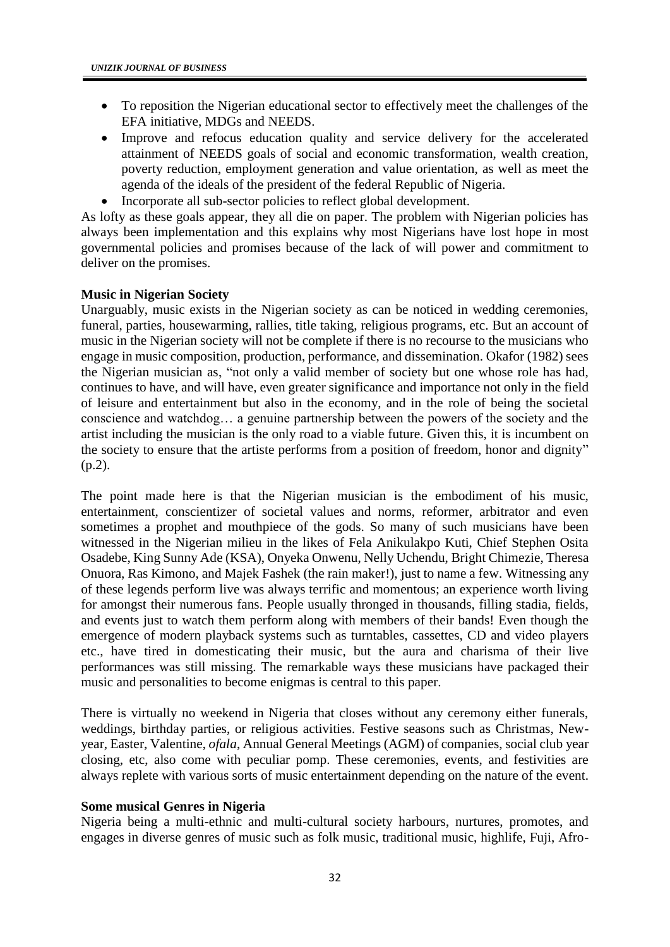- To reposition the Nigerian educational sector to effectively meet the challenges of the EFA initiative, MDGs and NEEDS.
- Improve and refocus education quality and service delivery for the accelerated attainment of NEEDS goals of social and economic transformation, wealth creation, poverty reduction, employment generation and value orientation, as well as meet the agenda of the ideals of the president of the federal Republic of Nigeria.
- Incorporate all sub-sector policies to reflect global development.

As lofty as these goals appear, they all die on paper. The problem with Nigerian policies has always been implementation and this explains why most Nigerians have lost hope in most governmental policies and promises because of the lack of will power and commitment to deliver on the promises.

# **Music in Nigerian Society**

Unarguably, music exists in the Nigerian society as can be noticed in wedding ceremonies, funeral, parties, housewarming, rallies, title taking, religious programs, etc. But an account of music in the Nigerian society will not be complete if there is no recourse to the musicians who engage in music composition, production, performance, and dissemination. Okafor (1982) sees the Nigerian musician as, "not only a valid member of society but one whose role has had, continues to have, and will have, even greater significance and importance not only in the field of leisure and entertainment but also in the economy, and in the role of being the societal conscience and watchdog… a genuine partnership between the powers of the society and the artist including the musician is the only road to a viable future. Given this, it is incumbent on the society to ensure that the artiste performs from a position of freedom, honor and dignity" (p.2).

The point made here is that the Nigerian musician is the embodiment of his music, entertainment, conscientizer of societal values and norms, reformer, arbitrator and even sometimes a prophet and mouthpiece of the gods. So many of such musicians have been witnessed in the Nigerian milieu in the likes of Fela Anikulakpo Kuti, Chief Stephen Osita Osadebe, King Sunny Ade (KSA), Onyeka Onwenu, Nelly Uchendu, Bright Chimezie, Theresa Onuora, Ras Kimono, and Majek Fashek (the rain maker!), just to name a few. Witnessing any of these legends perform live was always terrific and momentous; an experience worth living for amongst their numerous fans. People usually thronged in thousands, filling stadia, fields, and events just to watch them perform along with members of their bands! Even though the emergence of modern playback systems such as turntables, cassettes, CD and video players etc., have tired in domesticating their music, but the aura and charisma of their live performances was still missing. The remarkable ways these musicians have packaged their music and personalities to become enigmas is central to this paper.

There is virtually no weekend in Nigeria that closes without any ceremony either funerals, weddings, birthday parties, or religious activities. Festive seasons such as Christmas, Newyear, Easter, Valentine, *ofala*, Annual General Meetings (AGM) of companies, social club year closing, etc, also come with peculiar pomp. These ceremonies, events, and festivities are always replete with various sorts of music entertainment depending on the nature of the event.

# **Some musical Genres in Nigeria**

Nigeria being a multi-ethnic and multi-cultural society harbours, nurtures, promotes, and engages in diverse genres of music such as folk music, traditional music, highlife, Fuji, Afro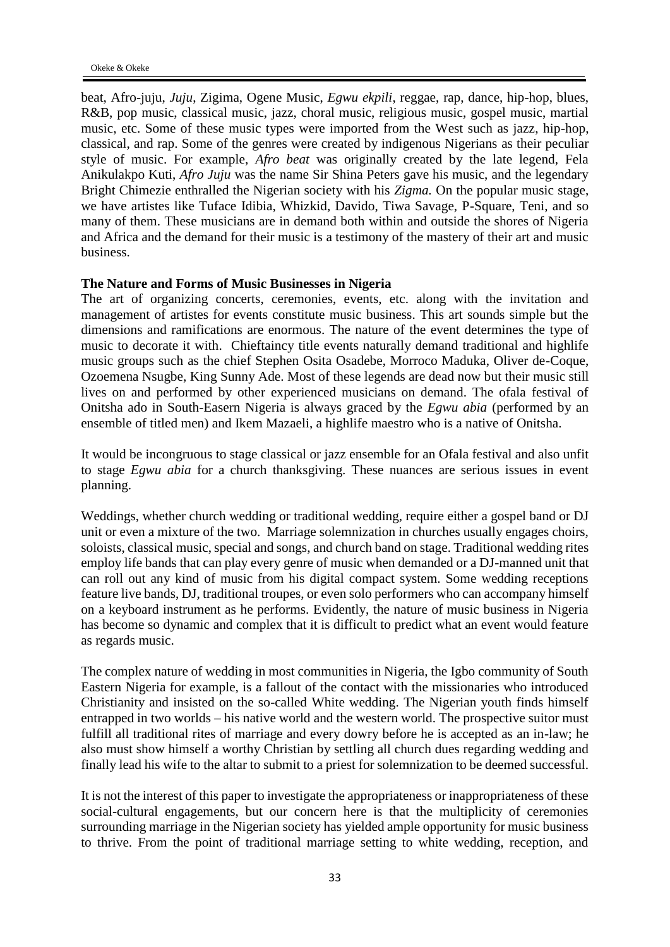beat, Afro-juju, *Juju*, Zigima, Ogene Music, *Egwu ekpili*, reggae, rap, dance, hip-hop, blues, R&B, pop music, classical music, jazz, choral music, religious music, gospel music, martial music, etc. Some of these music types were imported from the West such as jazz, hip-hop, classical, and rap. Some of the genres were created by indigenous Nigerians as their peculiar style of music. For example, *Afro beat* was originally created by the late legend, Fela Anikulakpo Kuti, *Afro Juju* was the name Sir Shina Peters gave his music, and the legendary Bright Chimezie enthralled the Nigerian society with his *Zigma.* On the popular music stage, we have artistes like Tuface Idibia, Whizkid, Davido, Tiwa Savage, P-Square, Teni, and so many of them. These musicians are in demand both within and outside the shores of Nigeria and Africa and the demand for their music is a testimony of the mastery of their art and music business.

#### **The Nature and Forms of Music Businesses in Nigeria**

The art of organizing concerts, ceremonies, events, etc. along with the invitation and management of artistes for events constitute music business. This art sounds simple but the dimensions and ramifications are enormous. The nature of the event determines the type of music to decorate it with. Chieftaincy title events naturally demand traditional and highlife music groups such as the chief Stephen Osita Osadebe, Morroco Maduka, Oliver de-Coque, Ozoemena Nsugbe, King Sunny Ade. Most of these legends are dead now but their music still lives on and performed by other experienced musicians on demand. The ofala festival of Onitsha ado in South-Easern Nigeria is always graced by the *Egwu abia* (performed by an ensemble of titled men) and Ikem Mazaeli, a highlife maestro who is a native of Onitsha.

It would be incongruous to stage classical or jazz ensemble for an Ofala festival and also unfit to stage *Egwu abia* for a church thanksgiving. These nuances are serious issues in event planning.

Weddings, whether church wedding or traditional wedding, require either a gospel band or DJ unit or even a mixture of the two. Marriage solemnization in churches usually engages choirs, soloists, classical music, special and songs, and church band on stage. Traditional wedding rites employ life bands that can play every genre of music when demanded or a DJ-manned unit that can roll out any kind of music from his digital compact system. Some wedding receptions feature live bands, DJ, traditional troupes, or even solo performers who can accompany himself on a keyboard instrument as he performs. Evidently, the nature of music business in Nigeria has become so dynamic and complex that it is difficult to predict what an event would feature as regards music.

The complex nature of wedding in most communities in Nigeria, the Igbo community of South Eastern Nigeria for example, is a fallout of the contact with the missionaries who introduced Christianity and insisted on the so-called White wedding. The Nigerian youth finds himself entrapped in two worlds – his native world and the western world. The prospective suitor must fulfill all traditional rites of marriage and every dowry before he is accepted as an in-law; he also must show himself a worthy Christian by settling all church dues regarding wedding and finally lead his wife to the altar to submit to a priest for solemnization to be deemed successful.

It is not the interest of this paper to investigate the appropriateness or inappropriateness of these social-cultural engagements, but our concern here is that the multiplicity of ceremonies surrounding marriage in the Nigerian society has yielded ample opportunity for music business to thrive. From the point of traditional marriage setting to white wedding, reception, and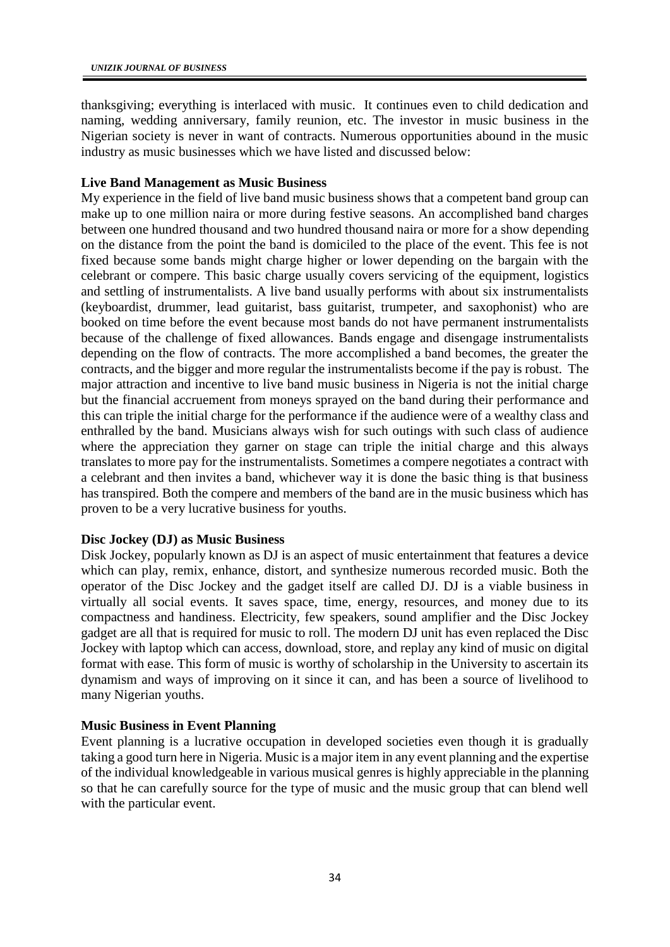thanksgiving; everything is interlaced with music. It continues even to child dedication and naming, wedding anniversary, family reunion, etc. The investor in music business in the Nigerian society is never in want of contracts. Numerous opportunities abound in the music industry as music businesses which we have listed and discussed below:

## **Live Band Management as Music Business**

My experience in the field of live band music business shows that a competent band group can make up to one million naira or more during festive seasons. An accomplished band charges between one hundred thousand and two hundred thousand naira or more for a show depending on the distance from the point the band is domiciled to the place of the event. This fee is not fixed because some bands might charge higher or lower depending on the bargain with the celebrant or compere. This basic charge usually covers servicing of the equipment, logistics and settling of instrumentalists. A live band usually performs with about six instrumentalists (keyboardist, drummer, lead guitarist, bass guitarist, trumpeter, and saxophonist) who are booked on time before the event because most bands do not have permanent instrumentalists because of the challenge of fixed allowances. Bands engage and disengage instrumentalists depending on the flow of contracts. The more accomplished a band becomes, the greater the contracts, and the bigger and more regular the instrumentalists become if the pay is robust. The major attraction and incentive to live band music business in Nigeria is not the initial charge but the financial accruement from moneys sprayed on the band during their performance and this can triple the initial charge for the performance if the audience were of a wealthy class and enthralled by the band. Musicians always wish for such outings with such class of audience where the appreciation they garner on stage can triple the initial charge and this always translates to more pay for the instrumentalists. Sometimes a compere negotiates a contract with a celebrant and then invites a band, whichever way it is done the basic thing is that business has transpired. Both the compere and members of the band are in the music business which has proven to be a very lucrative business for youths.

# **Disc Jockey (DJ) as Music Business**

Disk Jockey, popularly known as DJ is an aspect of music entertainment that features a device which can play, remix, enhance, distort, and synthesize numerous recorded music. Both the operator of the Disc Jockey and the gadget itself are called DJ. DJ is a viable business in virtually all social events. It saves space, time, energy, resources, and money due to its compactness and handiness. Electricity, few speakers, sound amplifier and the Disc Jockey gadget are all that is required for music to roll. The modern DJ unit has even replaced the Disc Jockey with laptop which can access, download, store, and replay any kind of music on digital format with ease. This form of music is worthy of scholarship in the University to ascertain its dynamism and ways of improving on it since it can, and has been a source of livelihood to many Nigerian youths.

## **Music Business in Event Planning**

Event planning is a lucrative occupation in developed societies even though it is gradually taking a good turn here in Nigeria. Music is a major item in any event planning and the expertise of the individual knowledgeable in various musical genres is highly appreciable in the planning so that he can carefully source for the type of music and the music group that can blend well with the particular event.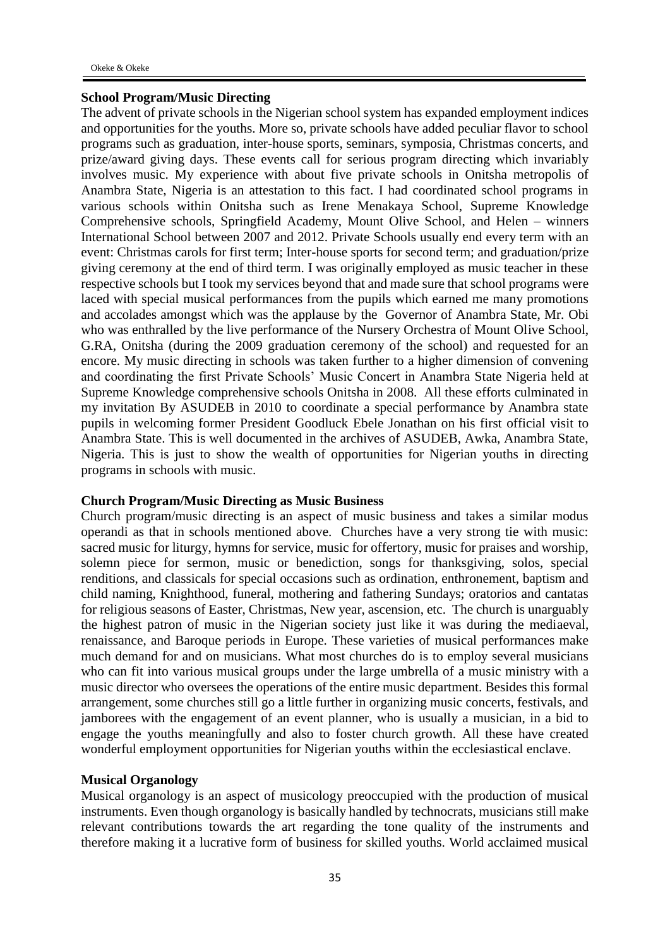## **School Program/Music Directing**

The advent of private schools in the Nigerian school system has expanded employment indices and opportunities for the youths. More so, private schools have added peculiar flavor to school programs such as graduation, inter-house sports, seminars, symposia, Christmas concerts, and prize/award giving days. These events call for serious program directing which invariably involves music. My experience with about five private schools in Onitsha metropolis of Anambra State, Nigeria is an attestation to this fact. I had coordinated school programs in various schools within Onitsha such as Irene Menakaya School, Supreme Knowledge Comprehensive schools, Springfield Academy, Mount Olive School, and Helen – winners International School between 2007 and 2012. Private Schools usually end every term with an event: Christmas carols for first term; Inter-house sports for second term; and graduation/prize giving ceremony at the end of third term. I was originally employed as music teacher in these respective schools but I took my services beyond that and made sure that school programs were laced with special musical performances from the pupils which earned me many promotions and accolades amongst which was the applause by the Governor of Anambra State, Mr. Obi who was enthralled by the live performance of the Nursery Orchestra of Mount Olive School, G.RA, Onitsha (during the 2009 graduation ceremony of the school) and requested for an encore. My music directing in schools was taken further to a higher dimension of convening and coordinating the first Private Schools' Music Concert in Anambra State Nigeria held at Supreme Knowledge comprehensive schools Onitsha in 2008. All these efforts culminated in my invitation By ASUDEB in 2010 to coordinate a special performance by Anambra state pupils in welcoming former President Goodluck Ebele Jonathan on his first official visit to Anambra State. This is well documented in the archives of ASUDEB, Awka, Anambra State, Nigeria. This is just to show the wealth of opportunities for Nigerian youths in directing programs in schools with music.

## **Church Program/Music Directing as Music Business**

Church program/music directing is an aspect of music business and takes a similar modus operandi as that in schools mentioned above. Churches have a very strong tie with music: sacred music for liturgy, hymns for service, music for offertory, music for praises and worship, solemn piece for sermon, music or benediction, songs for thanksgiving, solos, special renditions, and classicals for special occasions such as ordination, enthronement, baptism and child naming, Knighthood, funeral, mothering and fathering Sundays; oratorios and cantatas for religious seasons of Easter, Christmas, New year, ascension, etc. The church is unarguably the highest patron of music in the Nigerian society just like it was during the mediaeval, renaissance, and Baroque periods in Europe. These varieties of musical performances make much demand for and on musicians. What most churches do is to employ several musicians who can fit into various musical groups under the large umbrella of a music ministry with a music director who oversees the operations of the entire music department. Besides this formal arrangement, some churches still go a little further in organizing music concerts, festivals, and jamborees with the engagement of an event planner, who is usually a musician, in a bid to engage the youths meaningfully and also to foster church growth. All these have created wonderful employment opportunities for Nigerian youths within the ecclesiastical enclave.

### **Musical Organology**

Musical organology is an aspect of musicology preoccupied with the production of musical instruments. Even though organology is basically handled by technocrats, musicians still make relevant contributions towards the art regarding the tone quality of the instruments and therefore making it a lucrative form of business for skilled youths. World acclaimed musical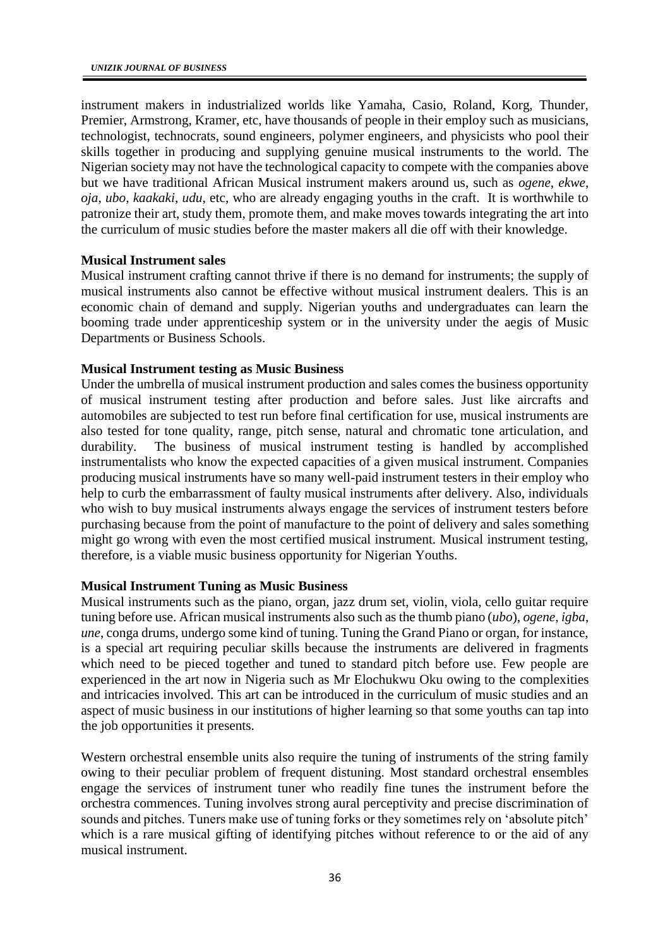instrument makers in industrialized worlds like Yamaha, Casio, Roland, Korg, Thunder, Premier, Armstrong, Kramer, etc, have thousands of people in their employ such as musicians, technologist, technocrats, sound engineers, polymer engineers, and physicists who pool their skills together in producing and supplying genuine musical instruments to the world. The Nigerian society may not have the technological capacity to compete with the companies above but we have traditional African Musical instrument makers around us, such as *ogene*, *ekwe*, *oja*, *ubo*, *kaakaki*, *udu*, etc, who are already engaging youths in the craft. It is worthwhile to patronize their art, study them, promote them, and make moves towards integrating the art into the curriculum of music studies before the master makers all die off with their knowledge.

## **Musical Instrument sales**

Musical instrument crafting cannot thrive if there is no demand for instruments; the supply of musical instruments also cannot be effective without musical instrument dealers. This is an economic chain of demand and supply. Nigerian youths and undergraduates can learn the booming trade under apprenticeship system or in the university under the aegis of Music Departments or Business Schools.

## **Musical Instrument testing as Music Business**

Under the umbrella of musical instrument production and sales comes the business opportunity of musical instrument testing after production and before sales. Just like aircrafts and automobiles are subjected to test run before final certification for use, musical instruments are also tested for tone quality, range, pitch sense, natural and chromatic tone articulation, and durability. The business of musical instrument testing is handled by accomplished instrumentalists who know the expected capacities of a given musical instrument. Companies producing musical instruments have so many well-paid instrument testers in their employ who help to curb the embarrassment of faulty musical instruments after delivery. Also, individuals who wish to buy musical instruments always engage the services of instrument testers before purchasing because from the point of manufacture to the point of delivery and sales something might go wrong with even the most certified musical instrument. Musical instrument testing, therefore, is a viable music business opportunity for Nigerian Youths.

## **Musical Instrument Tuning as Music Business**

Musical instruments such as the piano, organ, jazz drum set, violin, viola, cello guitar require tuning before use. African musical instruments also such as the thumb piano (*ubo*), *ogene*, *igba*, *une*, conga drums, undergo some kind of tuning. Tuning the Grand Piano or organ, for instance, is a special art requiring peculiar skills because the instruments are delivered in fragments which need to be pieced together and tuned to standard pitch before use. Few people are experienced in the art now in Nigeria such as Mr Elochukwu Oku owing to the complexities and intricacies involved. This art can be introduced in the curriculum of music studies and an aspect of music business in our institutions of higher learning so that some youths can tap into the job opportunities it presents.

Western orchestral ensemble units also require the tuning of instruments of the string family owing to their peculiar problem of frequent distuning. Most standard orchestral ensembles engage the services of instrument tuner who readily fine tunes the instrument before the orchestra commences. Tuning involves strong aural perceptivity and precise discrimination of sounds and pitches. Tuners make use of tuning forks or they sometimes rely on 'absolute pitch' which is a rare musical gifting of identifying pitches without reference to or the aid of any musical instrument.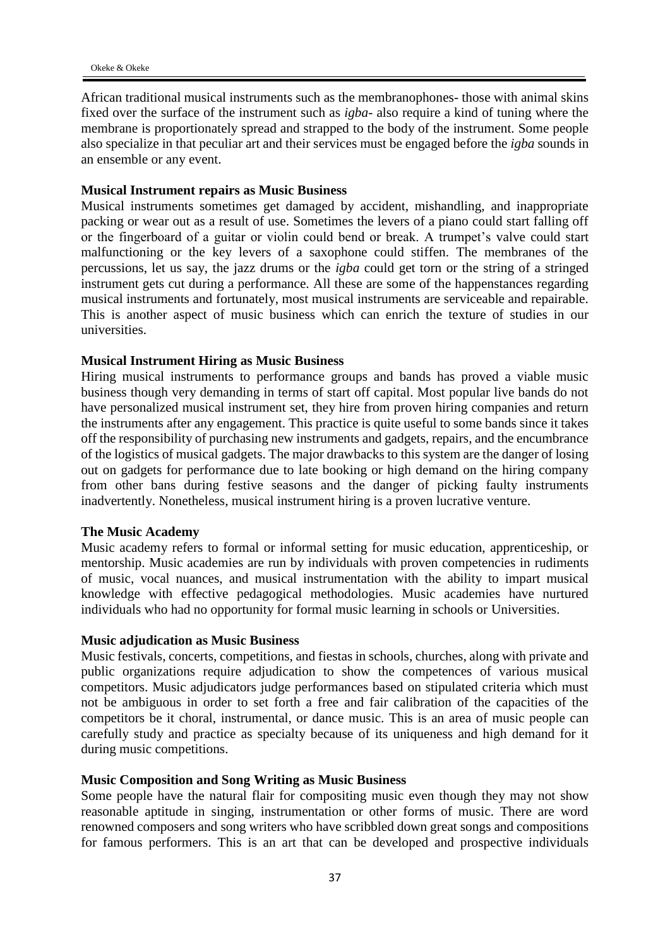African traditional musical instruments such as the membranophones- those with animal skins fixed over the surface of the instrument such as *igba*- also require a kind of tuning where the membrane is proportionately spread and strapped to the body of the instrument. Some people also specialize in that peculiar art and their services must be engaged before the *igba* sounds in an ensemble or any event.

### **Musical Instrument repairs as Music Business**

Musical instruments sometimes get damaged by accident, mishandling, and inappropriate packing or wear out as a result of use. Sometimes the levers of a piano could start falling off or the fingerboard of a guitar or violin could bend or break. A trumpet's valve could start malfunctioning or the key levers of a saxophone could stiffen. The membranes of the percussions, let us say, the jazz drums or the *igba* could get torn or the string of a stringed instrument gets cut during a performance. All these are some of the happenstances regarding musical instruments and fortunately, most musical instruments are serviceable and repairable. This is another aspect of music business which can enrich the texture of studies in our universities.

#### **Musical Instrument Hiring as Music Business**

Hiring musical instruments to performance groups and bands has proved a viable music business though very demanding in terms of start off capital. Most popular live bands do not have personalized musical instrument set, they hire from proven hiring companies and return the instruments after any engagement. This practice is quite useful to some bands since it takes off the responsibility of purchasing new instruments and gadgets, repairs, and the encumbrance of the logistics of musical gadgets. The major drawbacks to this system are the danger of losing out on gadgets for performance due to late booking or high demand on the hiring company from other bans during festive seasons and the danger of picking faulty instruments inadvertently. Nonetheless, musical instrument hiring is a proven lucrative venture.

#### **The Music Academy**

Music academy refers to formal or informal setting for music education, apprenticeship, or mentorship. Music academies are run by individuals with proven competencies in rudiments of music, vocal nuances, and musical instrumentation with the ability to impart musical knowledge with effective pedagogical methodologies. Music academies have nurtured individuals who had no opportunity for formal music learning in schools or Universities.

#### **Music adjudication as Music Business**

Music festivals, concerts, competitions, and fiestas in schools, churches, along with private and public organizations require adjudication to show the competences of various musical competitors. Music adjudicators judge performances based on stipulated criteria which must not be ambiguous in order to set forth a free and fair calibration of the capacities of the competitors be it choral, instrumental, or dance music. This is an area of music people can carefully study and practice as specialty because of its uniqueness and high demand for it during music competitions.

### **Music Composition and Song Writing as Music Business**

Some people have the natural flair for compositing music even though they may not show reasonable aptitude in singing, instrumentation or other forms of music. There are word renowned composers and song writers who have scribbled down great songs and compositions for famous performers. This is an art that can be developed and prospective individuals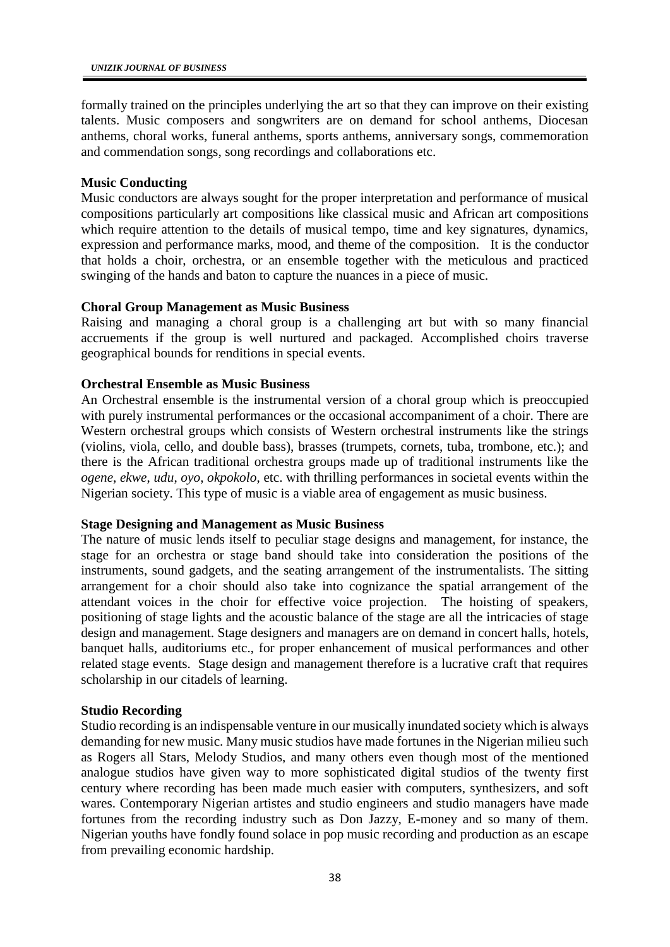formally trained on the principles underlying the art so that they can improve on their existing talents. Music composers and songwriters are on demand for school anthems, Diocesan anthems, choral works, funeral anthems, sports anthems, anniversary songs, commemoration and commendation songs, song recordings and collaborations etc.

## **Music Conducting**

Music conductors are always sought for the proper interpretation and performance of musical compositions particularly art compositions like classical music and African art compositions which require attention to the details of musical tempo, time and key signatures, dynamics, expression and performance marks, mood, and theme of the composition.It is the conductor that holds a choir, orchestra, or an ensemble together with the meticulous and practiced swinging of the hands and baton to capture the nuances in a piece of music.

## **Choral Group Management as Music Business**

Raising and managing a choral group is a challenging art but with so many financial accruements if the group is well nurtured and packaged. Accomplished choirs traverse geographical bounds for renditions in special events.

## **Orchestral Ensemble as Music Business**

An Orchestral ensemble is the instrumental version of a choral group which is preoccupied with purely instrumental performances or the occasional accompaniment of a choir. There are Western orchestral groups which consists of Western orchestral instruments like the strings (violins, viola, cello, and double bass), brasses (trumpets, cornets, tuba, trombone, etc.); and there is the African traditional orchestra groups made up of traditional instruments like the *ogene*, *ekwe*, *udu*, *oyo*, *okpokolo*, etc. with thrilling performances in societal events within the Nigerian society. This type of music is a viable area of engagement as music business.

## **Stage Designing and Management as Music Business**

The nature of music lends itself to peculiar stage designs and management, for instance, the stage for an orchestra or stage band should take into consideration the positions of the instruments, sound gadgets, and the seating arrangement of the instrumentalists. The sitting arrangement for a choir should also take into cognizance the spatial arrangement of the attendant voices in the choir for effective voice projection. The hoisting of speakers, positioning of stage lights and the acoustic balance of the stage are all the intricacies of stage design and management. Stage designers and managers are on demand in concert halls, hotels, banquet halls, auditoriums etc., for proper enhancement of musical performances and other related stage events. Stage design and management therefore is a lucrative craft that requires scholarship in our citadels of learning.

## **Studio Recording**

Studio recording is an indispensable venture in our musically inundated society which is always demanding for new music. Many music studios have made fortunes in the Nigerian milieu such as Rogers all Stars, Melody Studios, and many others even though most of the mentioned analogue studios have given way to more sophisticated digital studios of the twenty first century where recording has been made much easier with computers, synthesizers, and soft wares. Contemporary Nigerian artistes and studio engineers and studio managers have made fortunes from the recording industry such as Don Jazzy, E-money and so many of them. Nigerian youths have fondly found solace in pop music recording and production as an escape from prevailing economic hardship.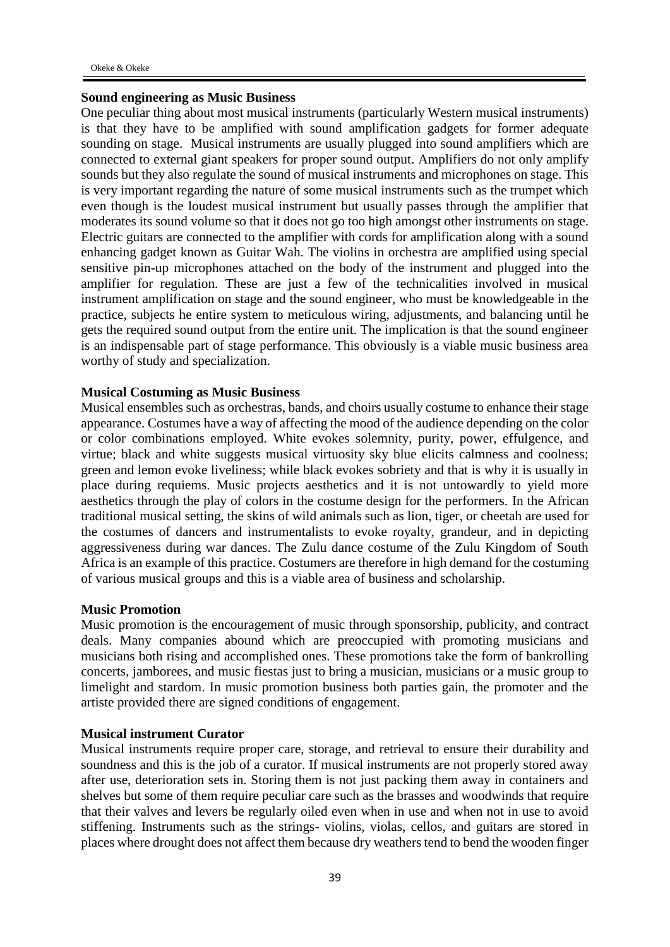## **Sound engineering as Music Business**

One peculiar thing about most musical instruments (particularly Western musical instruments) is that they have to be amplified with sound amplification gadgets for former adequate sounding on stage. Musical instruments are usually plugged into sound amplifiers which are connected to external giant speakers for proper sound output. Amplifiers do not only amplify sounds but they also regulate the sound of musical instruments and microphones on stage. This is very important regarding the nature of some musical instruments such as the trumpet which even though is the loudest musical instrument but usually passes through the amplifier that moderates its sound volume so that it does not go too high amongst other instruments on stage. Electric guitars are connected to the amplifier with cords for amplification along with a sound enhancing gadget known as Guitar Wah. The violins in orchestra are amplified using special sensitive pin-up microphones attached on the body of the instrument and plugged into the amplifier for regulation. These are just a few of the technicalities involved in musical instrument amplification on stage and the sound engineer, who must be knowledgeable in the practice, subjects he entire system to meticulous wiring, adjustments, and balancing until he gets the required sound output from the entire unit. The implication is that the sound engineer is an indispensable part of stage performance. This obviously is a viable music business area worthy of study and specialization.

## **Musical Costuming as Music Business**

Musical ensembles such as orchestras, bands, and choirs usually costume to enhance their stage appearance. Costumes have a way of affecting the mood of the audience depending on the color or color combinations employed. White evokes solemnity, purity, power, effulgence, and virtue; black and white suggests musical virtuosity sky blue elicits calmness and coolness; green and lemon evoke liveliness; while black evokes sobriety and that is why it is usually in place during requiems. Music projects aesthetics and it is not untowardly to yield more aesthetics through the play of colors in the costume design for the performers. In the African traditional musical setting, the skins of wild animals such as lion, tiger, or cheetah are used for the costumes of dancers and instrumentalists to evoke royalty, grandeur, and in depicting aggressiveness during war dances. The Zulu dance costume of the Zulu Kingdom of South Africa is an example of this practice. Costumers are therefore in high demand for the costuming of various musical groups and this is a viable area of business and scholarship.

## **Music Promotion**

Music promotion is the encouragement of music through sponsorship, publicity, and contract deals. Many companies abound which are preoccupied with promoting musicians and musicians both rising and accomplished ones. These promotions take the form of bankrolling concerts, jamborees, and music fiestas just to bring a musician, musicians or a music group to limelight and stardom. In music promotion business both parties gain, the promoter and the artiste provided there are signed conditions of engagement.

## **Musical instrument Curator**

Musical instruments require proper care, storage, and retrieval to ensure their durability and soundness and this is the job of a curator. If musical instruments are not properly stored away after use, deterioration sets in. Storing them is not just packing them away in containers and shelves but some of them require peculiar care such as the brasses and woodwinds that require that their valves and levers be regularly oiled even when in use and when not in use to avoid stiffening. Instruments such as the strings- violins, violas, cellos, and guitars are stored in places where drought does not affect them because dry weathers tend to bend the wooden finger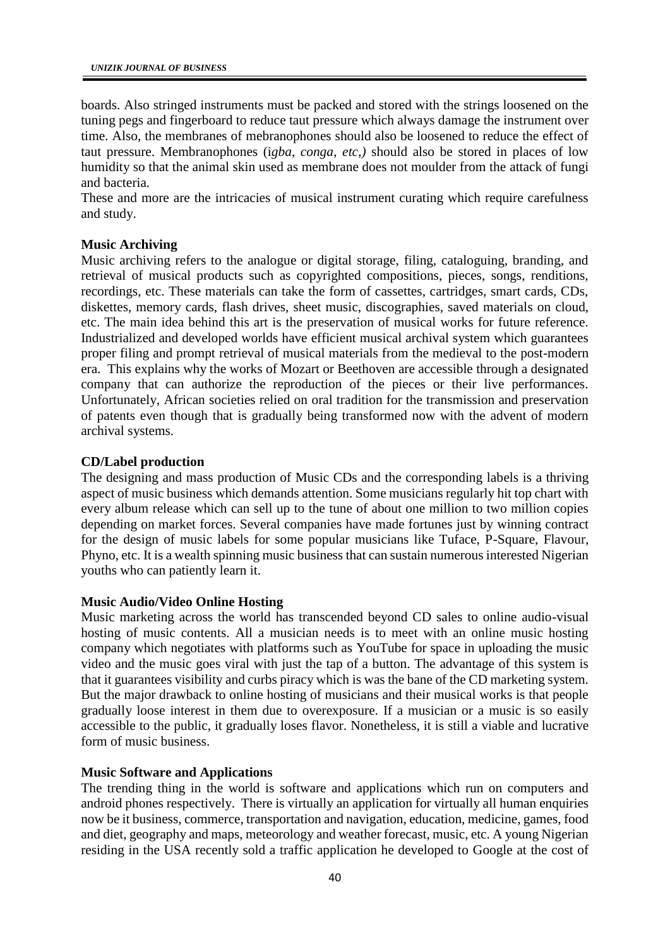boards. Also stringed instruments must be packed and stored with the strings loosened on the tuning pegs and fingerboard to reduce taut pressure which always damage the instrument over time. Also, the membranes of mebranophones should also be loosened to reduce the effect of taut pressure. Membranophones (i*gba*, *conga, etc,)* should also be stored in places of low humidity so that the animal skin used as membrane does not moulder from the attack of fungi and bacteria.

These and more are the intricacies of musical instrument curating which require carefulness and study.

## **Music Archiving**

Music archiving refers to the analogue or digital storage, filing, cataloguing, branding, and retrieval of musical products such as copyrighted compositions, pieces, songs, renditions, recordings, etc. These materials can take the form of cassettes, cartridges, smart cards, CDs, diskettes, memory cards, flash drives, sheet music, discographies, saved materials on cloud, etc. The main idea behind this art is the preservation of musical works for future reference. Industrialized and developed worlds have efficient musical archival system which guarantees proper filing and prompt retrieval of musical materials from the medieval to the post-modern era. This explains why the works of Mozart or Beethoven are accessible through a designated company that can authorize the reproduction of the pieces or their live performances. Unfortunately, African societies relied on oral tradition for the transmission and preservation of patents even though that is gradually being transformed now with the advent of modern archival systems.

## **CD/Label production**

The designing and mass production of Music CDs and the corresponding labels is a thriving aspect of music business which demands attention. Some musicians regularly hit top chart with every album release which can sell up to the tune of about one million to two million copies depending on market forces. Several companies have made fortunes just by winning contract for the design of music labels for some popular musicians like Tuface, P-Square, Flavour, Phyno, etc. It is a wealth spinning music business that can sustain numerous interested Nigerian youths who can patiently learn it.

## **Music Audio/Video Online Hosting**

Music marketing across the world has transcended beyond CD sales to online audio-visual hosting of music contents. All a musician needs is to meet with an online music hosting company which negotiates with platforms such as YouTube for space in uploading the music video and the music goes viral with just the tap of a button. The advantage of this system is that it guarantees visibility and curbs piracy which is was the bane of the CD marketing system. But the major drawback to online hosting of musicians and their musical works is that people gradually loose interest in them due to overexposure. If a musician or a music is so easily accessible to the public, it gradually loses flavor. Nonetheless, it is still a viable and lucrative form of music business.

## **Music Software and Applications**

The trending thing in the world is software and applications which run on computers and android phones respectively. There is virtually an application for virtually all human enquiries now be it business, commerce, transportation and navigation, education, medicine, games, food and diet, geography and maps, meteorology and weather forecast, music, etc. A young Nigerian residing in the USA recently sold a traffic application he developed to Google at the cost of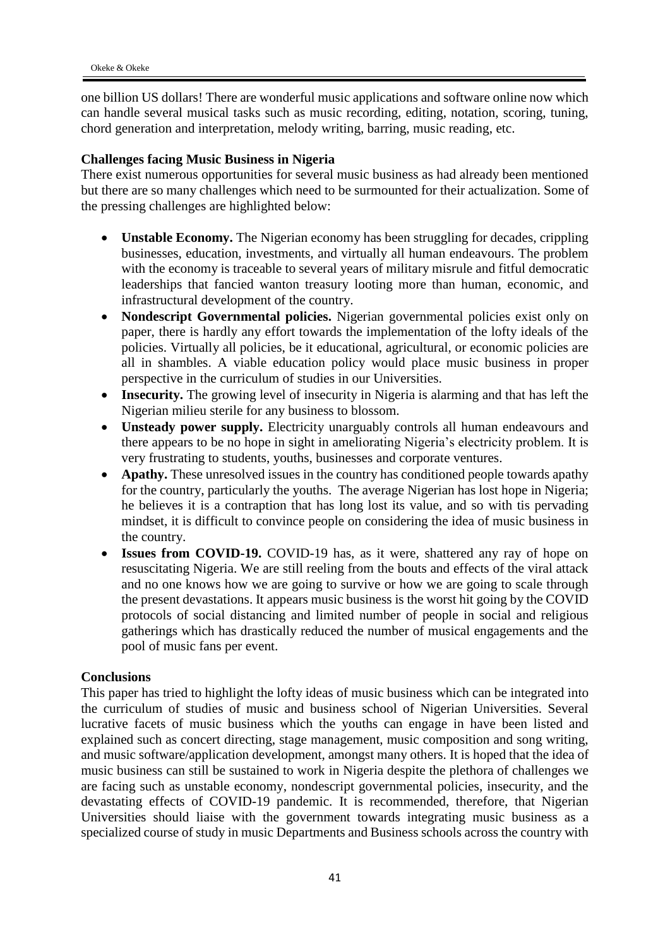one billion US dollars! There are wonderful music applications and software online now which can handle several musical tasks such as music recording, editing, notation, scoring, tuning, chord generation and interpretation, melody writing, barring, music reading, etc.

# **Challenges facing Music Business in Nigeria**

There exist numerous opportunities for several music business as had already been mentioned but there are so many challenges which need to be surmounted for their actualization. Some of the pressing challenges are highlighted below:

- **Unstable Economy.** The Nigerian economy has been struggling for decades, crippling businesses, education, investments, and virtually all human endeavours. The problem with the economy is traceable to several years of military misrule and fitful democratic leaderships that fancied wanton treasury looting more than human, economic, and infrastructural development of the country.
- **Nondescript Governmental policies.** Nigerian governmental policies exist only on paper, there is hardly any effort towards the implementation of the lofty ideals of the policies. Virtually all policies, be it educational, agricultural, or economic policies are all in shambles. A viable education policy would place music business in proper perspective in the curriculum of studies in our Universities.
- **Insecurity.** The growing level of insecurity in Nigeria is alarming and that has left the Nigerian milieu sterile for any business to blossom.
- **Unsteady power supply.** Electricity unarguably controls all human endeavours and there appears to be no hope in sight in ameliorating Nigeria's electricity problem. It is very frustrating to students, youths, businesses and corporate ventures.
- **Apathy.** These unresolved issues in the country has conditioned people towards apathy for the country, particularly the youths. The average Nigerian has lost hope in Nigeria; he believes it is a contraption that has long lost its value, and so with tis pervading mindset, it is difficult to convince people on considering the idea of music business in the country.
- **Issues from COVID-19.** COVID-19 has, as it were, shattered any ray of hope on resuscitating Nigeria. We are still reeling from the bouts and effects of the viral attack and no one knows how we are going to survive or how we are going to scale through the present devastations. It appears music business is the worst hit going by the COVID protocols of social distancing and limited number of people in social and religious gatherings which has drastically reduced the number of musical engagements and the pool of music fans per event.

# **Conclusions**

This paper has tried to highlight the lofty ideas of music business which can be integrated into the curriculum of studies of music and business school of Nigerian Universities. Several lucrative facets of music business which the youths can engage in have been listed and explained such as concert directing, stage management, music composition and song writing, and music software/application development, amongst many others. It is hoped that the idea of music business can still be sustained to work in Nigeria despite the plethora of challenges we are facing such as unstable economy, nondescript governmental policies, insecurity, and the devastating effects of COVID-19 pandemic. It is recommended, therefore, that Nigerian Universities should liaise with the government towards integrating music business as a specialized course of study in music Departments and Business schools across the country with